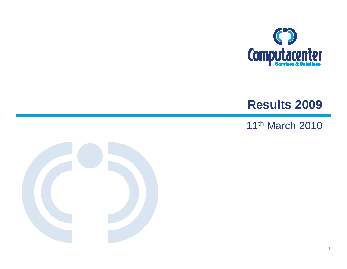

#### **Results 2009**

#### 11<sup>th</sup> March 2010

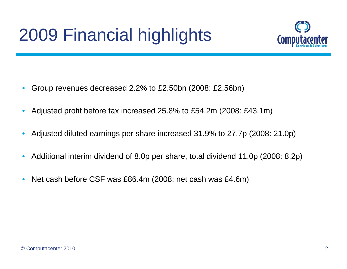

- $\bullet$ Group revenues decreased 2.2% to £2.50bn (2008: £2.56bn)
- $\bullet$ Adjusted profit before tax increased 25.8% to £54.2m (2008: £43.1m)
- $\bullet$ Adjusted diluted earnings per share increased 31.9% to 27.7p (2008: 21.0p)
- $\bullet$ Additional interim dividend of 8.0p per share, total dividend 11.0p (2008: 8.2p)
- $\bullet$ Net cash before CSF was £86.4m (2008: net cash was £4.6m)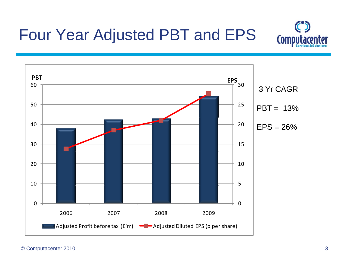

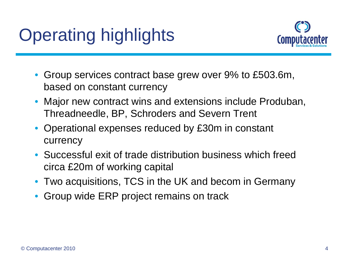# Operating highlights



- Group services contract base grew over 9% to £503.6m, based on constant currency
- Major new contract wins and extensions include Produban, Threadneedle, BP, Schroders and Severn Trent
- Operational expenses reduced by £30m in constant currency
- Successful exit of trade distribution business which freed circa £20m of working capital
- Two acquisitions, TCS in the UK and becom in Germany
- Group wide ERP project remains on track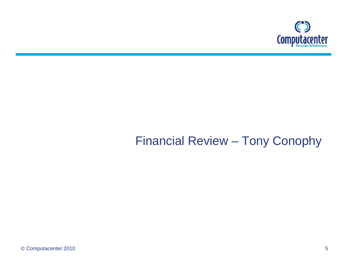

#### Financial Review – Tony Conophy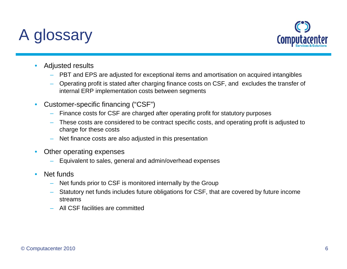# A glossary



- • Adjusted results
	- PBT and EPS are adjusted for exceptional items and amortisation on acquired intangibles
	- Operating profit is stated after charging finance costs on CSF, and excludes the transfer of internal ERP implementation costs between segments
- $\bullet$  Customer-specific financing ("CSF")
	- Finance costs for CSF are charged after operating profit for statutory purposes
	- These costs are considered to be contract specific costs, and operating profit is adjusted to charge for these costs
	- Net finance costs are also adjusted in this presentation
- $\bullet$ Other operating expenses
	- Equivalent to sales, general and admin/overhead expenses
- • Net funds
	- Net funds prior to CSF is monitored internally by the Group
	- Statutory net funds includes future obligations for CSF, that are covered by future income streams
	- All CSF facilities are committed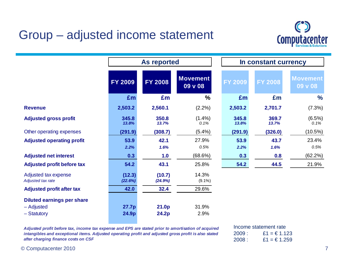#### Group – adjusted income statement



|                                           | As reported       |                   |                            | In constant currency |                |                            |
|-------------------------------------------|-------------------|-------------------|----------------------------|----------------------|----------------|----------------------------|
|                                           | <b>FY 2009</b>    | <b>FY 2008</b>    | <b>Movement</b><br>09 v 08 | <b>FY 2009</b>       | <b>FY 2008</b> | <b>Movement</b><br>09 v 08 |
|                                           | £m                | £m                | $\frac{0}{0}$              | £m                   | £m             | $\frac{0}{0}$              |
| <b>Revenue</b>                            | 2,503.2           | 2,560.1           | $(2.2\%)$                  | 2,503.2              | 2,701.7        | (7.3%)                     |
| <b>Adjusted gross profit</b>              | 345.8<br>13.8%    | 350.8<br>13.7%    | $(1.4\%)$<br>0.1%          | 345.8<br>13.8%       | 369.7<br>13.7% | (6.5%)<br>$0.1\%$          |
| Other operating expenses                  | (291.9)           | (308.7)           | $(5.4\%)$                  | (291.9)              | (326.0)        | (10.5%)                    |
| <b>Adjusted operating profit</b>          | 53.9<br>2.2%      | 42.1<br>1.6%      | 27.9%<br>0.5%              | 53.9<br>2.2%         | 43.7<br>1.6%   | 23.4%<br>0.5%              |
| <b>Adjusted net interest</b>              | 0.3               | 1.0               | (68.6%)                    | 0.3                  | 0.8            | (62.2%)                    |
| <b>Adjusted profit before tax</b>         | 54.2              | 43.1              | 25.8%                      | 54.2                 | 44.5           | 21.9%                      |
| Adjusted tax expense<br>Adjusted tax rate | (12.3)<br>(22.6%) | (10.7)<br>(24.9%) | 14.3%<br>$(9.1\%)$         |                      |                |                            |
| <b>Adjusted profit after tax</b>          | 42.0              | 32.4              | 29.6%                      |                      |                |                            |
| <b>Diluted earnings per share</b>         |                   |                   | 31.9%                      |                      |                |                            |
| - Adjusted<br>- Statutory                 | 27.7p<br>24.9p    | 21.0p<br>24.2p    | 2.9%                       |                      |                |                            |

*Adjusted profit before tax, income tax expense and EPS are stated prior to amortisation of acquired intangibles and exceptional items. Adjusted operating profit and adjusted gross profit is also stated after charging finance costs on CSF*

Income statement rate $2009: E1 = \text{\textsterling}1.123$  $2008$ : £1 = €1.259

© Computacenter 2010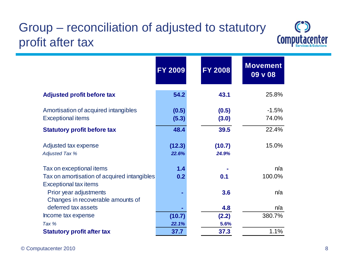#### Group – reconciliation of adjusted to statutory profit after tax



|                                                                             | <b>FY 2009</b> | <b>FY 2008</b> | <b>Movement</b><br>09 v 08 |
|-----------------------------------------------------------------------------|----------------|----------------|----------------------------|
| <b>Adjusted profit before tax</b>                                           | 54.2           | 43.1           | 25.8%                      |
| Amortisation of acquired intangibles                                        | (0.5)          | (0.5)          | $-1.5%$                    |
| <b>Exceptional items</b>                                                    | (5.3)          | (3.0)          | 74.0%                      |
| <b>Statutory profit before tax</b>                                          | 48.4           | 39.5           | 22.4%                      |
| Adjusted tax expense                                                        | (12.3)         | (10.7)         | 15.0%                      |
| <b>Adjusted Tax %</b>                                                       | 22.6%          | 24.9%          |                            |
| Tax on exceptional items                                                    | 1.4            |                | n/a                        |
| Tax on amortisation of acquired intangibles<br><b>Exceptional tax items</b> | 0.2            | 0.1            | 100.0%                     |
| Prior year adjustments<br>Changes in recoverable amounts of                 |                | 3.6            | n/a                        |
| deferred tax assets                                                         |                | 4.8            | n/a                        |
| Income tax expense                                                          | (10.7)         | (2.2)          | 380.7%                     |
| Tax %                                                                       | 22.1%          | 5.6%           |                            |
| <b>Statutory profit after tax</b>                                           | 37.7           | 37.3           | 1.1%                       |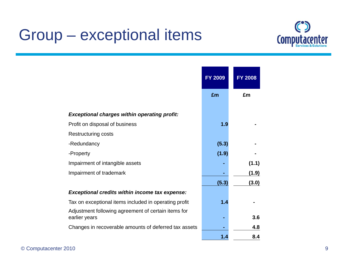# Group – exceptional items



|                                                                      | <b>FY 2009</b> | <b>FY 2008</b> |
|----------------------------------------------------------------------|----------------|----------------|
|                                                                      | £m             | £m             |
| <b>Exceptional charges within operating profit:</b>                  |                |                |
| Profit on disposal of business                                       | 1.9            |                |
| <b>Restructuring costs</b>                                           |                |                |
| -Redundancy                                                          | (5.3)          |                |
| -Property                                                            | (1.9)          |                |
| Impairment of intangible assets                                      |                | (1.1)          |
| Impairment of trademark                                              |                | (1.9)          |
|                                                                      | (5.3)          | (3.0)          |
| <b>Exceptional credits within income tax expense:</b>                |                |                |
| Tax on exceptional items included in operating profit                | 1.4            |                |
| Adjustment following agreement of certain items for<br>earlier years |                | 3.6            |
| Changes in recoverable amounts of deferred tax assets                |                | 4.8            |
|                                                                      | 1.4            | 8.4            |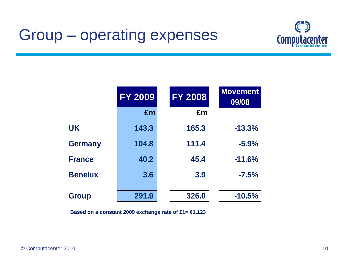# Group – operating expenses



|                | <b>FY 2009</b> | <b>FY 2008</b> | <b>Movement</b><br>09/08 |
|----------------|----------------|----------------|--------------------------|
|                | £m             | £m             |                          |
| UK             | 143.3          | 165.3          | $-13.3%$                 |
| Germany        | 104.8          | 111.4          | $-5.9%$                  |
| <b>France</b>  | 40.2           | 45.4           | $-11.6%$                 |
| <b>Benelux</b> | 3.6            | 3.9            | $-7.5%$                  |
| Group          | 291.9          | 326.0          | $-10.5%$                 |

**Based on a constant 2009 exchange rate of £1= €1.123**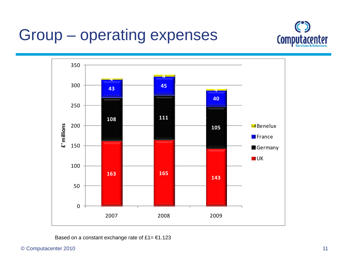# Group – operating expenses





Based on a constant exchange rate of  $£1=€1.123$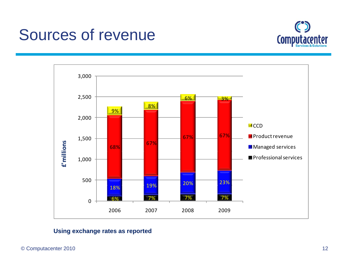## Sources of revenue





#### **Using exchange rates as reported**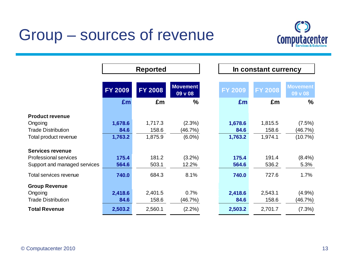# Group – sources of revenue



|                              | <b>Reported</b> |                |                            |                | In constant currency |                            |
|------------------------------|-----------------|----------------|----------------------------|----------------|----------------------|----------------------------|
|                              |                 |                |                            |                |                      |                            |
|                              | <b>FY 2009</b>  | <b>FY 2008</b> | <b>Movement</b><br>09 v 08 | <b>FY 2009</b> | <b>FY 2008</b>       | <b>Movement</b><br>09 v 08 |
|                              | £m              | £m             | $\frac{0}{0}$              | £m             | £m                   | $\%$                       |
| <b>Product revenue</b>       |                 |                |                            |                |                      |                            |
| Ongoing                      | 1,678.6         | 1,717.3        | (2.3%)                     | 1,678.6        | 1,815.5              | (7.5%)                     |
| <b>Trade Distribution</b>    | 84.6            | 158.6          | (46.7%)                    | 84.6           | 158.6                | (46.7%)                    |
| Total product revenue        | 1,763.2         | 1,875.9        | $(6.0\%)$                  | 1,763.2        | 1,974.1              | (10.7%)                    |
|                              |                 |                |                            |                |                      |                            |
| <b>Services revenue</b>      |                 |                |                            |                |                      |                            |
| <b>Professional services</b> | 175.4           | 181.2          | $(3.2\%)$                  | 175.4          | 191.4                | $(8.4\%)$                  |
| Support and managed services | 564.6           | 503.1          | 12.2%                      | 564.6          | 536.2                | 5.3%                       |
| Total services revenue       | 740.0           | 684.3          | 8.1%                       | 740.0          | 727.6                | 1.7%                       |
| <b>Group Revenue</b>         |                 |                |                            |                |                      |                            |
| Ongoing                      | 2,418.6         | 2,401.5        | 0.7%                       | 2,418.6        | 2,543.1              | (4.9%                      |
| <b>Trade Distribution</b>    | 84.6            | 158.6          | (46.7%)                    | 84.6           | 158.6                | (46.7%)                    |
| <b>Total Revenue</b>         | 2,503.2         | 2,560.1        | $(2.2\%)$                  | 2,503.2        | 2,701.7              | (7.3%)                     |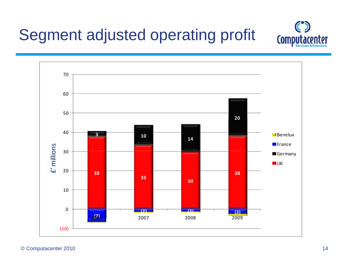# Segment adjusted operating profit



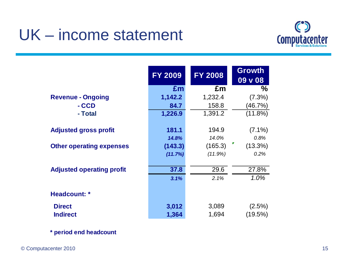# UK – income statement



|                                  | <b>FY 2009</b> | <b>FY 2008</b> | <b>Growth</b><br>09 v 08 |
|----------------------------------|----------------|----------------|--------------------------|
|                                  | £m             | £m             | $\%$                     |
| <b>Revenue - Ongoing</b>         | 1,142.2        | 1,232.4        | $(7.3\%)$                |
| - CCD                            | 84.7           | 158.8          | (46.7%)                  |
| - Total                          | 1,226.9        | 1,391.2        | $(11.8\%)$               |
|                                  |                |                |                          |
| <b>Adjusted gross profit</b>     | 181.1          | 194.9          | $(7.1\%)$                |
|                                  | 14.8%          | 14.0%          | 0.8%                     |
| <b>Other operating expenses</b>  | (143.3)        | (165.3)        | $(13.3\%)$               |
|                                  | (11.7%)        | (11.9%)        | 0.2%                     |
|                                  |                |                |                          |
| <b>Adjusted operating profit</b> | 37.8           | 29.6           | 27.8%                    |
|                                  | 3.1%           | 2.1%           | 1.0%                     |
| Headcount: *                     |                |                |                          |
| <b>Direct</b>                    | 3,012          | 3,089          | $(2.5\%)$                |
| <b>Indirect</b>                  | 1,364          | 1,694          | (19.5%)                  |

**\* period end headcount**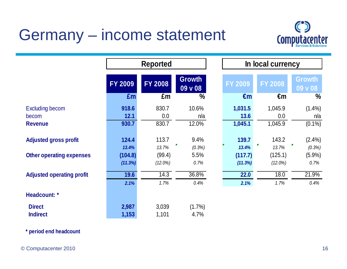# Germany – income statement



|                                  |                | <b>Reported</b> |                          |  |                | In local currency |                          |  |
|----------------------------------|----------------|-----------------|--------------------------|--|----------------|-------------------|--------------------------|--|
|                                  | <b>FY 2009</b> | <b>FY 2008</b>  | <b>Growth</b><br>09 v 08 |  | <b>FY 2009</b> | <b>FY 2008</b>    | <b>Growth</b><br>09 v 08 |  |
|                                  | £m             | £m              | $\%$                     |  | $\epsilon$ m   | $\epsilon$ m      | $\frac{0}{0}$            |  |
| <b>Excluding becom</b>           | 918.6          | 830.7           | 10.6%                    |  | 1,031.5        | 1,045.9           | (1.4%                    |  |
| becom                            | 12.1           | 0.0             | n/a                      |  | 13.6           | 0.0               | n/a                      |  |
| <b>Revenue</b>                   | 930.7          | 830.7           | 12.0%                    |  | 1,045.1        | 1,045.9           | $(0.1\%)$                |  |
|                                  |                |                 |                          |  |                |                   |                          |  |
| <b>Adjusted gross profit</b>     | 124.4          | 113.7           | 9.4%                     |  | 139.7          | 143.2             | (2.4%                    |  |
|                                  | 13.4%          | 13.7%           | (0.3%)                   |  | 13.4%          | Г<br>13.7%        | Г.<br>(0.3%)             |  |
| <b>Other operating expenses</b>  | (104.8)        | (99.4)          | 5.5%                     |  | (117.7)        | (125.1)           | (5.9%)                   |  |
|                                  | (11.3%)        | $(12.0\%)$      | 0.7%                     |  | (11.3%)        | $(12.0\%)$        | 0.7%                     |  |
| <b>Adjusted operating profit</b> | 19.6           | 14.3            | 36.8%                    |  | 22.0           | 18.0              | 21.9%                    |  |
|                                  | 2.1%           | 1.7%            | 0.4%                     |  | 2.1%           | 1.7%              | 0.4%                     |  |
| Headcount: *                     |                |                 |                          |  |                |                   |                          |  |
| <b>Direct</b>                    | 2,987          | 3,039           | $(1.7\%)$                |  |                |                   |                          |  |
| <b>Indirect</b>                  | 1,153          | 1,101           | 4.7%                     |  |                |                   |                          |  |

**\* period end headcount**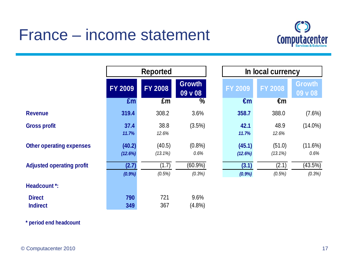# France – income statement



|                                  | <b>Reported</b>   |                      |                          |                    |                      | In local currency        |  |
|----------------------------------|-------------------|----------------------|--------------------------|--------------------|----------------------|--------------------------|--|
|                                  | <b>FY 2009</b>    | <b>FY 2008</b>       | <b>Growth</b><br>09 v 08 | <b>FY 2009</b>     | <b>FY 2008</b>       | <b>Growth</b><br>09 v 08 |  |
|                                  | Em                | £m                   | $\%$                     | $\epsilon$ m       | $\epsilon$ m         |                          |  |
| <b>Revenue</b>                   | 319.4             | 308.2                | 3.6%                     | 358.7              | 388.0                | (7.6%)                   |  |
| <b>Gross profit</b>              | 37.4<br>11.7%     | 38.8<br>12.6%        | (3.5%)                   | 42.1<br>11.7%      | 48.9<br>12.6%        | $(14.0\%)$               |  |
| <b>Other operating expenses</b>  | (40.2)<br>(12.6%) | (40.5)<br>$(13.1\%)$ | (0.8% )<br>0.6%          | (45.1)<br>(12.6%)  | (51.0)<br>$(13.1\%)$ | (11.6%)<br>0.6%          |  |
| <b>Adjusted operating profit</b> | (2.7)<br>(0.9%    | (1.7)<br>(0.5%)      | $(60.9\%)$<br>(0.3%)     | (3.1)<br>$(0.9\%)$ | (2.1)<br>(0.5%)      | (43.5%)<br>(0.3%)        |  |
| <b>Headcount *:</b>              |                   |                      |                          |                    |                      |                          |  |
| <b>Direct</b><br><b>Indirect</b> | 790<br>349        | 721<br>367           | 9.6%<br>$(4.8\%)$        |                    |                      |                          |  |

**\* period end headcount**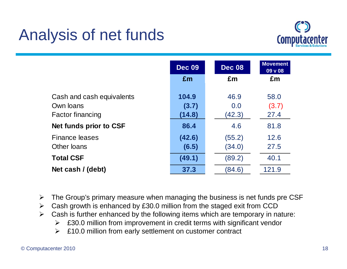# Analysis of net funds



|                                        | <b>Dec 09</b>   | <b>Dec 08</b>    | <b>Movement</b><br>09 v 08 |
|----------------------------------------|-----------------|------------------|----------------------------|
|                                        | Em              | Em               | £m                         |
| Cash and cash equivalents<br>Own loans | 104.9<br>(3.7)  | 46.9<br>0.0      | 58.0<br>(3.7)              |
| <b>Factor financing</b>                | (14.8)          | (42.3)           | 27.4                       |
| Net funds prior to CSF                 | 86.4            | 4.6              | 81.8                       |
| <b>Finance leases</b><br>Other loans   | (42.6)<br>(6.5) | (55.2)<br>(34.0) | 12.6<br>27.5               |
| <b>Total CSF</b>                       | (49.1)          | (89.2)           | 40.1                       |
| Net cash / (debt)                      | 37.3            | (84.6)           | 121.9                      |

The Group's primary measure when managing the business is net funds pre CSF

- Cash growth is enhanced by £30.0 million from the staged exit from CCD
- $\blacktriangleright$  Cash is further enhanced by the following items which are temporary in nature:
	- £30.0 million from improvement in credit terms with significant vendor
	- $\blacktriangleright$ £10.0 million from early settlement on customer contract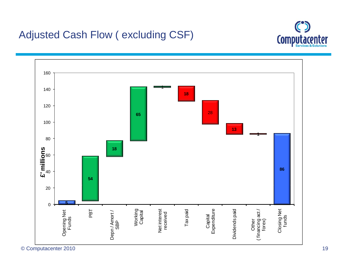#### Adjusted Cash Flow ( excluding CSF)



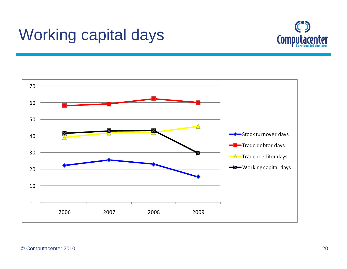# Working capital days



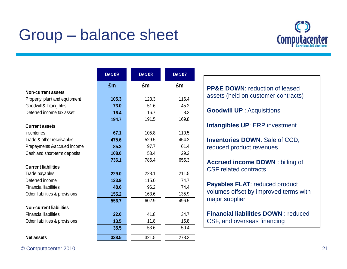# Group – balance sheet



|                                | <b>Dec 09</b> | <b>Dec 08</b> | <b>Dec 07</b> |                                            |
|--------------------------------|---------------|---------------|---------------|--------------------------------------------|
|                                | £m            | £m            | £m            | <b>PP&amp;E DOWN: reduction of leased</b>  |
| <b>Non-current assets</b>      |               |               |               |                                            |
| Property, plant and equipment  | 105.3         | 123.3         | 116.4         | assets (held on customer contracts)        |
| Goodwill & Intangibles         | 73.0          | 51.6          | 45.2          |                                            |
| Deferred income tax asset      | 16.4          | 16.7          | 8.2           | <b>Goodwill UP</b> : Acquisitions          |
|                                | 194.7         | 191.5         | 169.8         |                                            |
| <b>Current assets</b>          |               |               |               | <b>Intangibles UP: ERP investment</b>      |
| <b>Inventories</b>             | 67.1          | 105.8         | 110.5         |                                            |
| Trade & other receivables      | 475.6         | 529.5         | 454.2         | <b>Inventories DOWN: Sale of CCD,</b>      |
| Prepayments & accrued income   | 85.3          | 97.7          | 61.4          | reduced product revenues                   |
| Cash and short-term deposits   | 108.0         | 53.4          | 29.2          |                                            |
|                                | 736.1         | 786.4         | 655.3         | <b>Accrued income DOWN: billing of</b>     |
| <b>Current liabilities</b>     |               |               |               | <b>CSF</b> related contracts               |
| Trade payables                 | 229.0         | 228.1         | 211.5         |                                            |
| Deferred income                | 123.9         | 115.0         | 74.7          |                                            |
| <b>Financial liabilities</b>   | 48.6          | 96.2          | 74.4          | <b>Payables FLAT: reduced product</b>      |
| Other liabilities & provisions | 155.2         | 163.6         | 135.9         | volumes offset by improved terms with      |
|                                | 556.7         | 602.9         | 496.5         | major supplier                             |
| <b>Non-current liabilities</b> |               |               |               |                                            |
| <b>Financial liabilities</b>   | 22.0          | 41.8          | 34.7          | <b>Financial liabilities DOWN: reduced</b> |
| Other liabilities & provisions | 13.5          | 11.8          | 15.8          | CSF, and overseas financing                |
|                                | 35.5          | 53.6          | 50.4          |                                            |
| <b>Net assets</b>              | 338.5         | 321.5         | 278.2         |                                            |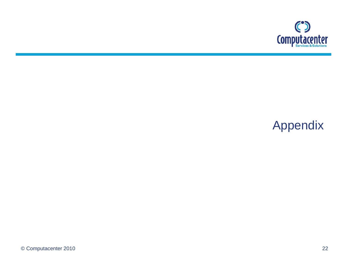

#### Appendix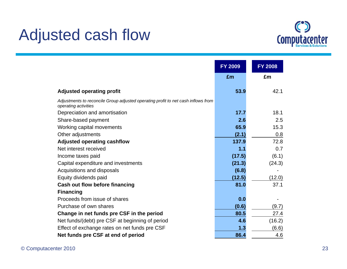# Adjusted cash flow



 $\overline{\phantom{0}}$ 

|                                                                                                           | <b>FY 2009</b> | <b>FY 2008</b> |  |
|-----------------------------------------------------------------------------------------------------------|----------------|----------------|--|
|                                                                                                           | £m             | £m             |  |
| <b>Adjusted operating profit</b>                                                                          | 53.9           | 42.1           |  |
| Adjustments to reconcile Group adjusted operating profit to net cash inflows from<br>operating activities |                |                |  |
| Depreciation and amortisation                                                                             | 17.7           | 18.1           |  |
| Share-based payment                                                                                       | 2.6            | 2.5            |  |
| Working capital movements                                                                                 | 65.9           | 15.3           |  |
| Other adjustments                                                                                         | (2.1)          | 0.8            |  |
| <b>Adjusted operating cashflow</b>                                                                        | 137.9          | 72.8           |  |
| Net interest received                                                                                     | 1.1            | 0.7            |  |
| Income taxes paid                                                                                         | (17.5)         | (6.1)          |  |
| Capital expenditure and investments                                                                       | (21.3)         | (24.3)         |  |
| Acquisitions and disposals                                                                                | (6.8)          |                |  |
| Equity dividends paid                                                                                     | (12.5)         | (12.0)         |  |
| Cash out flow before financing                                                                            | 81.0           | 37.1           |  |
| <b>Financing</b>                                                                                          |                |                |  |
| Proceeds from issue of shares                                                                             | 0.0            |                |  |
| Purchase of own shares                                                                                    | (0.6)          | (9.7)          |  |
| Change in net funds pre CSF in the period                                                                 | 80.5           | 27.4           |  |
| Net funds/(debt) pre CSF at beginning of period                                                           | 4.6            | (16.2)         |  |
| Effect of exchange rates on net funds pre CSF                                                             | 1.3            | (6.6)          |  |
| Net funds pre CSF at end of period                                                                        | 86.4           | 4.6            |  |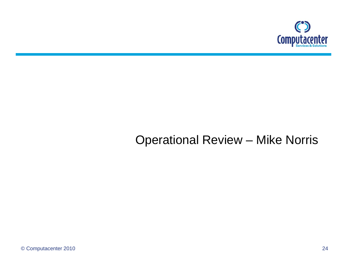

#### Operational Review – Mike Norris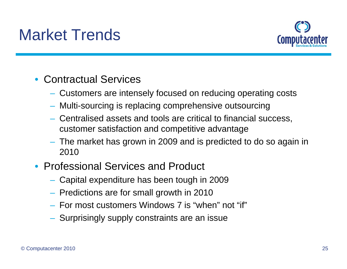# Market Trends



#### • Contractual Services

- Customers are intensely focused on reducing operating costs
- Multi-sourcing is replacing comprehensive outsourcing
- $-$  Centralised assets and tools are critical to financial success, customer satisfaction and competitive advantage
- The market has grown in 2009 and is predicted to do so again in 2010
- Professional Services and Product
	- Capital expenditure has been tough in 2009
	- $-$  Predictions are for small growth in 2010  $\,$
	- For most customers Windows 7 is "when" not "if"
	- $-$  Surprisingly supply constraints are an issue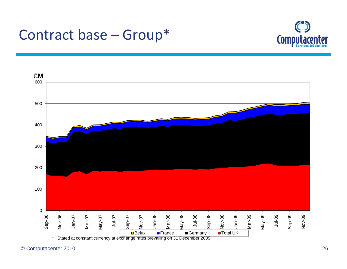#### Contract base – Group\*





© Computacenter 2010 26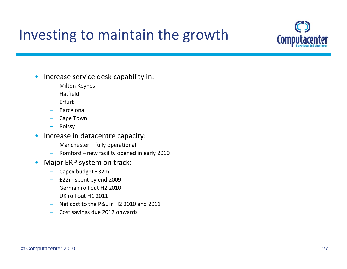## Investing to maintain the growth



- $\bullet$  Increase service desk capability in:
	- Milton Keynes
	- Hatfield
	- Erfurt
	- Barcelona
	- Cape Town
	- Roissy
- Increase in datacentre capacity:
	- –Manchester – fully operational
	- Romford new facility opened in early 2010
- $\bullet$  Major ERP system on track:
	- –Capex budget £32m
	- £22m spent by end 2009
	- German roll out H2 2010
	- UK roll out H1 2011
	- Net cost to the P&L in H2 2010 and 2011
	- Cost savings due 2012 onwards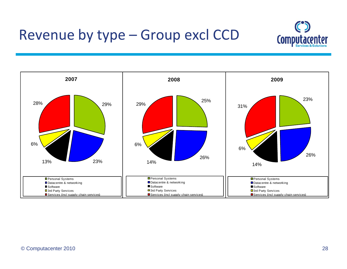### Revenue by type – Group excl CCD



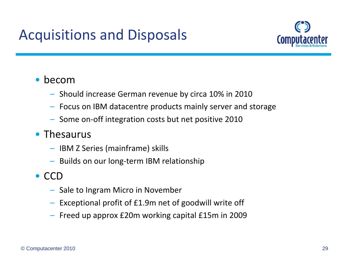### Acquisitions and Disposals



#### •becom

- Should increase German revenue by circa 10% in 2010
- Focus on IBM datacentre products mainly server and storage
- $-$  Some on-off integration costs but net positive 2010
- Thesaurus
	- IBM Z Series (mainframe) skills
	- Builds on our long‐term IBM relationship
- CCD
	- Sale to Ingram Micro in November
	- Exceptional profit of £1.9m net of goodwill write off
	- $-$  Freed up approx £20m working capital £15m in 2009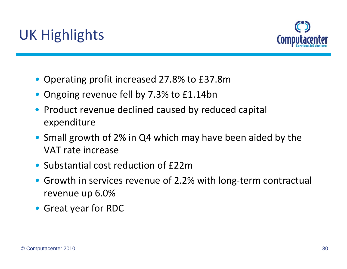

- Operating profit increased 27.8% to £37.8m
- Ongoing revenue fell by 7.3% to £1.14bn
- Product revenue declined caused by reduced capital expenditure
- Small growth of 2% in Q4 which may have been aided by the VAT rate increase
- Substantial cost reduction of £22m
- Growth in services revenue of 2.2% with long‐term contractual revenue up 6.0%
- Great year for RDC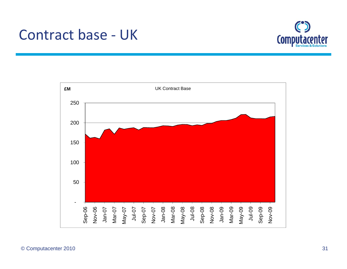



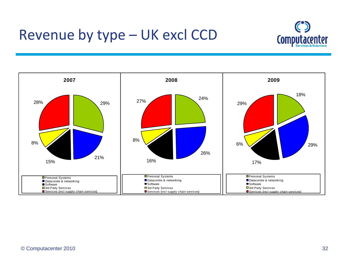### Revenue by type – UK excl CCD



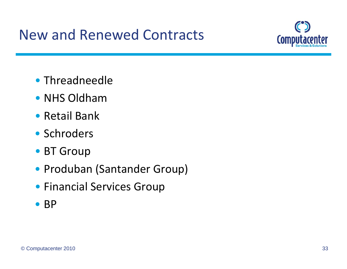



- Threadneedle
- NHS Oldham
- Retail Bank
- Schroders
- BT Group
- Produban (Santander Group)
- Financial Services Group
- BP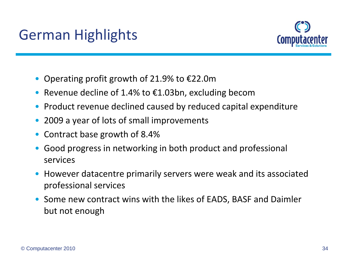

- Operating profit growth of 21.9% to €22.0m
- Revenue decline of 1.4% to €1.03bn, excluding becom
- Product revenue declined caused by reduced capital expenditure
- $\bullet$ 2009 <sup>a</sup> year of lots of small improvements
- Contract base growth of 8.4%
- • Good progress in networking in both product and professional services
- However datacentre primarily servers were weak and its associated professional services
- Some new contract wins with the likes of EADS, BASF and Daimler but not enough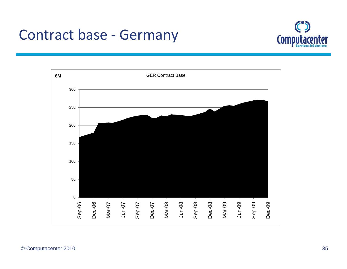### Contract base ‐ Germany



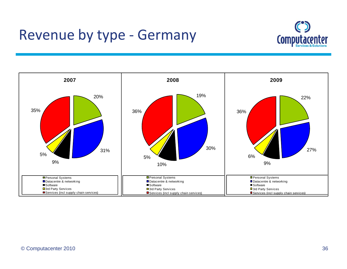### Revenue by type ‐ Germany



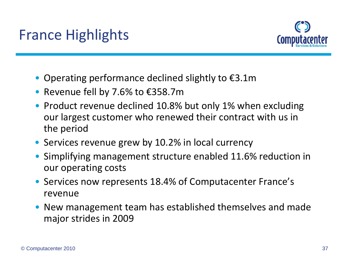

- Operating performance declined slightly to €3.1m
- Revenue fell by 7.6% to €358.7m
- Product revenue declined 10.8% but only 1% when excluding our largest customer who renewed their contract with us in the period
- Services revenue grew by 10.2% in local currency
- Simplifying management structure enabled 11.6% reduction in our operating costs
- Services now represents 18.4% of Computacenter France's revenue
- New management team has established themselves and made major strides in 2009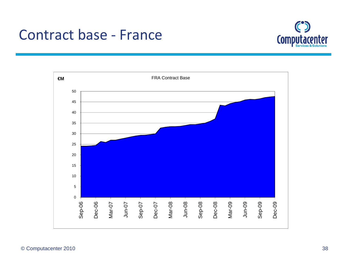#### Contract base ‐ France



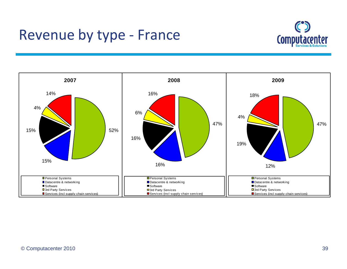### Revenue by type ‐ France



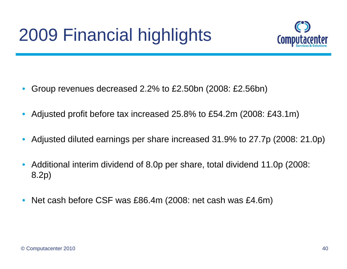

- $\bullet$ Group revenues decreased 2.2% to £2.50bn (2008: £2.56bn)
- $\bullet$ • Adjusted profit before tax increased 25.8% to £54.2m (2008: £43.1m)
- $\bullet$ Adjusted diluted earnings per share increased 31.9% to 27.7p (2008: 21.0p)
- $\bullet$  Additional interim dividend of 8.0p per share, total dividend 11.0p (2008: 8.2p)
- $\bullet$ Net cash before CSF was £86.4m (2008: net cash was £4.6m)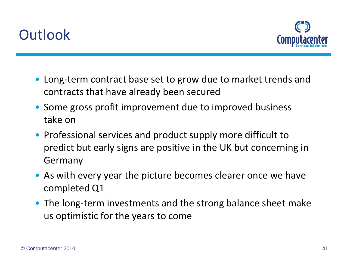



- Long‐term contract base set to grow due to market trends and contracts that have already been secured
- Some gross profit improvement due to improved business take on
- Professional services and product supply more difficult to predict but early signs are positive in the UK but concerning in Germany
- As with every year the picture becomes clearer once we have completed Q1
- The long-term investments and the strong balance sheet make us optimistic for the years to come